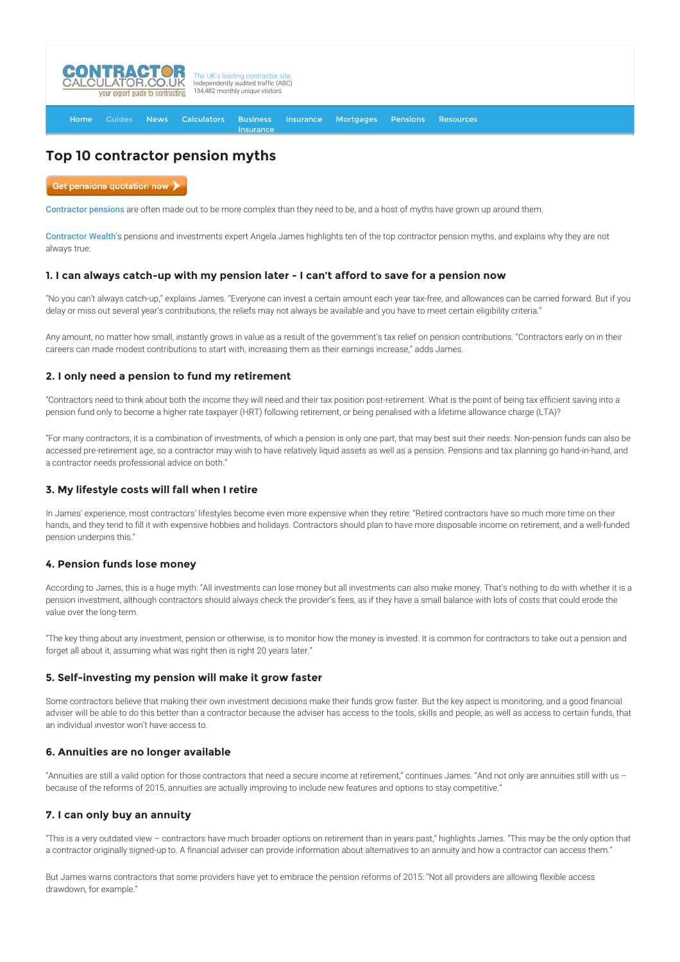

# **Top 10 contractor pension myths**

Get pensions quotation now )

[Contractor pensions](http://www.contractorcalculator.co.uk/contractor_pensions.aspx) are often made out to be more complex than they need to be, and a host of myths have grown up around them.

[Contractor Wealth](http://www.contractor-wealth.com/)'s pensions and investments expert Angela James highlights ten of the top contractor pension myths, and explains why they are not always true.

## **1. I can always catch-up with my pension later - I can't afford to save for a pension now**

**[Insurance](http://www.contractorcalculator.co.uk/Contractor_Insurances.aspx)** 

"No you can't always catch-up," explains James. "Everyone can invest a certain amount each year tax-free, and allowances can be carried forward. But if you delay or miss out several year's contributions, the reliefs may not always be available and you have to meet certain eligibility criteria."

Any amount, no matter how small, instantly grows in value as a result of the government's tax relief on pension contributions. "Contractors early on in their careers can made modest contributions to start with, increasing them as their earnings increase," adds James.

## **2. I only need a pension to fund my retirement**

"Contractors need to think about both the income they will need and their tax position post-retirement. What is the point of being tax efficient saving into a pension fund only to become a higher rate taxpayer (HRT) following retirement, or being penalised with a lifetime allowance charge (LTA)?

"For many contractors, it is a combination of investments, of which a pension is only one part, that may best suit their needs. Non-pension funds can also be accessed pre-retirement age, so a contractor may wish to have relatively liquid assets as well as a pension. Pensions and tax planning go hand-in-hand, and a contractor needs professional advice on both."

## **3. My lifestyle costs will fall when I retire**

In James' experience, most contractors' lifestyles become even more expensive when they retire: "Retired contractors have so much more time on their hands, and they tend to fill it with expensive hobbies and holidays. Contractors should plan to have more disposable income on retirement, and a well-funded pension underpins this."

## **4. Pension funds lose money**

According to James, this is a huge myth: "All investments can lose money but all investments can also make money. That's nothing to do with whether it is a pension investment, although contractors should always check the provider's fees, as if they have a small balance with lots of costs that could erode the value over the long-term.

"The key thing about any investment, pension or otherwise, is to monitor how the money is invested. It is common for contractors to take out a pension and forget all about it, assuming what was right then is right 20 years later."

## **5. Self-investing my pension will make it grow faster**

Some contractors believe that making their own investment decisions make their funds grow faster. But the key aspect is monitoring, and a good financial adviser will be able to do this better than a contractor because the adviser has access to the tools, skills and people, as well as access to certain funds, that an individual investor won't have access to.

## **6. Annuities are no longer available**

"Annuities are still a valid option for those contractors that need a secure income at retirement," continues James. "And not only are annuities still with us – because of the reforms of 2015, annuities are actually improving to include new features and options to stay competitive."

## **7. I can only buy an annuity**

"This is a very outdated view – contractors have much broader options on retirement than in years past," highlights James. "This may be the only option that a contractor originally signed-up to. A financial adviser can provide information about alternatives to an annuity and how a contractor can access them."

But James warns contractors that some providers have yet to embrace the pension reforms of 2015: "Not all providers are allowing flexible access drawdown, for example."